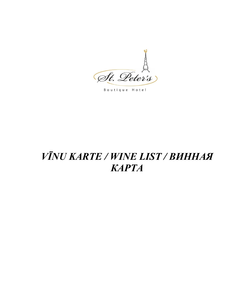

Boutique Hotel

# VĪNU KARTE / WINE LIST / BUHHAA **KAPTA**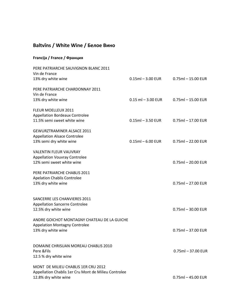### **Baltvīns / White Wine / Белое Вино**

#### **Francija / France / Франция**

| PERE PATRIARCHE SAUVIGNON BLANC 2011<br>Vin de France<br>13% dry white wine                                         | $0.15$ ml $-3.00$ EUR  | $0.75$ ml $- 15.00$ EUR |
|---------------------------------------------------------------------------------------------------------------------|------------------------|-------------------------|
| PERE PATRIARCHE CHARDONNAY 2011<br>Vin de France<br>13% dry white wine                                              | $0.15$ ml $-3.00$ EUR  | $0.75$ ml $- 15.00$ EUR |
| <b>FLEUR MOELLEUX 2011</b><br><b>Appellation Bordeaux Controlee</b><br>11.5% semi sweet white wine                  | $0.15$ ml $-3.50$ EUR  | $0.75$ ml $- 17.00$ EUR |
| <b>GEWURZTRAMINER ALSACE 2011</b><br><b>Appellation Alsace Controlee</b><br>13% semi dry white wine                 | $0.15$ ml $- 6.00$ EUR | $0.75$ ml $- 22.00$ EUR |
| <b>VALENTIN FLEUR VAUVRAY</b><br><b>Appellation Vouvray Controlee</b><br>12% semi sweet white wine                  |                        | $0.75$ ml - 20.00 EUR   |
| PERE PATRIARCHE CHABLIS 2011<br><b>Apelation Chablis Controlee</b><br>13% dry white wine                            |                        | $0.75$ ml $- 27.00$ EUR |
| SANCERRE LES CHANVIERES 2011<br><b>Appellation Sancerre Controlee</b><br>12.5% dry white wine                       |                        | $0.75$ ml $-30.00$ EUR  |
| ANDRE GOICHOT MONTAGNY CHATEAU DE LA GUICHE<br><b>Appelation Montagny Controlee</b><br>13% dry white wine           |                        | $0.75$ ml $-37.00$ EUR  |
| DOMAINE CHRISUAN MOREAU CHABLIS 2010<br>Pere & Fils<br>12.5 % dry white wine                                        |                        | 0.75ml - 37.00 EUR      |
| MONT DE MILIEU CHABLIS 1ER CRU 2012<br>Appellation Chablis 1er Cru Mont de Milieu Controlee<br>12.8% dry white wine |                        | $0.75$ ml $-45.00$ EUR  |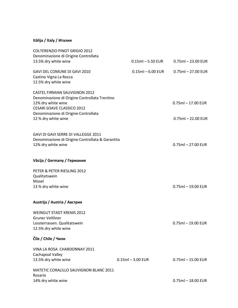#### **Itālija / Italy / Италия**

| <b>COLTERENZIO PINOT GRIGIO 2012</b>                                                    |                       |                         |
|-----------------------------------------------------------------------------------------|-----------------------|-------------------------|
| Denominazione di Origine Controllata<br>13.5% dry white wine                            | $0.15$ ml $-5.50$ EUR | $0.75$ ml $- 23.00$ EUR |
|                                                                                         |                       |                         |
| GAVI DEL COMUNE DI GAVI 2010                                                            | $0.15$ ml $-6.00$ EUR | $0.75$ ml - 27.00 EUR   |
| Castino Vigna La Rocca                                                                  |                       |                         |
| 12.5% dry white wine                                                                    |                       |                         |
| <b>CASTEL FIRMIAN SAUVIGNON 2012</b>                                                    |                       |                         |
| Denominazione di Origine Controllata Trentino                                           |                       |                         |
| 12% dry white wine                                                                      |                       | $0.75$ ml $- 17.00$ EUR |
| <b>CESARI SOAVE CLASSICO 2012</b>                                                       |                       |                         |
| Denominazione di Origine Controllata                                                    |                       |                         |
| 12 % dry white wine                                                                     |                       | $0.75$ ml $- 22.00$ EUR |
|                                                                                         |                       |                         |
| GAVI DI GAVI SERRE DI VALLEGGE 2011<br>Denominazione di Origine Controllata & Garantita |                       |                         |
| 12% dry white wine                                                                      |                       | $0.75$ ml $-27.00$ EUR  |
|                                                                                         |                       |                         |
| Vācija / Germany / Германия                                                             |                       |                         |
| PETER & PETER RIESLING 2012                                                             |                       |                         |
| Qualitatswein                                                                           |                       |                         |
| Mosel                                                                                   |                       |                         |
| 13 % dry white wine                                                                     |                       | $0.75$ ml $-19.00$ EUR  |
| Austrija / Austria / Австрия                                                            |                       |                         |
| <b>WEINGUT STADT KREMS 2012</b>                                                         |                       |                         |
| <b>Gruner Veltliner</b>                                                                 |                       |                         |
| Lossterrassen. Qualitatswein                                                            |                       | $0.75$ ml $-19.00$ EUR  |
| 12.5% dry white wine                                                                    |                       |                         |
| Čīle / Chile / Чили                                                                     |                       |                         |
| VINA LA ROSA CHARDONNAY 2011                                                            |                       |                         |
| Cachapoal Valley                                                                        |                       |                         |
| 13.5% dry white wine                                                                    | $0.15$ ml $-3.00$ EUR | $0.75$ ml $- 15.00$ EUR |
| MATETIC CORALILLO SAUVIGNON BLANC 2011                                                  |                       |                         |
| Rosario                                                                                 |                       |                         |
| 14% dry white wine                                                                      |                       | $0.75$ ml $- 18.00$ EUR |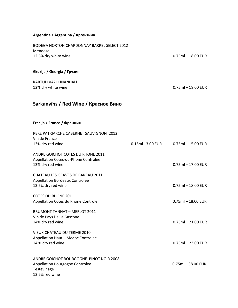#### **Argentīna / Argentina / Аргентина**

| <b>BODEGA NORTON CHARDONNAY BARREL SELECT 2012</b>          |                  |                         |
|-------------------------------------------------------------|------------------|-------------------------|
| Mendoza<br>12.5% dry white wine                             |                  | $0.75$ ml $- 18.00$ EUR |
| Gruzija / Georgia / Грузия                                  |                  |                         |
|                                                             |                  |                         |
| KARTULI VAZI CINANDALI<br>12% dry white wine                |                  | $0.75$ ml $-18.00$ EUR  |
| Sarkanvins / Red Wine / Красное Вино                        |                  |                         |
| Fracija / France / Франция                                  |                  |                         |
| PERE PATRIARCHE CABERNET SAUVIGNON 2012                     |                  |                         |
| Vin de France                                               | 0.15ml -3.00 EUR | $0.75$ ml $- 15.00$ EUR |
| 13% dry red wine                                            |                  |                         |
| ANDRE GOICHOT COTES DU RHONE 2011                           |                  |                         |
| Appellation Cotes-du-Rhone Controlee<br>13% dry red wine    |                  | $0.75$ ml $- 17.00$ EUR |
|                                                             |                  |                         |
| CHATEAU LES GRAVES DE BARRAU 2011                           |                  |                         |
| <b>Appellation Bordeaux Controlee</b><br>13.5% dry red wine |                  | $0.75$ ml $- 18.00$ EUR |
|                                                             |                  |                         |
| <b>COTES DU RHONE 2011</b>                                  |                  |                         |
| Appellation Cotes du Rhone Controle                         |                  | $0.75$ ml $- 18.00$ EUR |
| <b>BRUMONT TANNAT - MERLOT 2011</b>                         |                  |                         |
| Vin de Pays De La Gascone                                   |                  |                         |
| 14% dry red wine                                            |                  | $0.75$ ml $- 21.00$ EUR |
| <b>VIEUX CHATEAU DU TERME 2010</b>                          |                  |                         |
| Appellation Haut - Medoc Controlee                          |                  |                         |
| 14 % dry red wine                                           |                  | $0.75$ ml $- 23.00$ EUR |
| ANDRE GOICHOT BOURGOGNE PINOT NOIR 2008                     |                  |                         |
| <b>Appellation Bourgogne Controlee</b>                      |                  | $0.75$ ml - 38.00 EUR   |
| Testevinage<br>12.5% red wine                               |                  |                         |
|                                                             |                  |                         |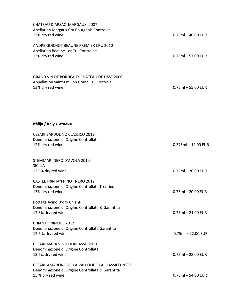| CHATEAU D'ARSAC MARGAUX 2007<br>Apellation Margaux Cru Bourgeois Controlee<br>13% dry red wine                           | $0.75$ ml $-$ 40.00 EUR |
|--------------------------------------------------------------------------------------------------------------------------|-------------------------|
| ANDRE GOICHOT BEAUNE PREMIER CRU 2010<br>Apellation Beaune 1er Cru Controlee<br>13% dry red wine                         | $0.75$ ml $-57.00$ EUR  |
| <b>GRAND VIN DE BORDEAUX CHATEAU DE LISSE 2006</b><br>Appellation Saint-Emilion Grand Cru Controle<br>13% dry red wine   | $0.75$ ml $-55.00$ EUR  |
| Itālija / Italy / Италия                                                                                                 |                         |
| <b>CESARI BARDOLINO CLASSICO 2012</b><br>Denominazione di Origine Controllata<br>12% dry red wine                        | $0.375$ ml - 14.00 EUR  |
| STEMMARI NERO D'AVOLA 2010<br><b>SICILIA</b>                                                                             |                         |
| 13.5% dry red wine                                                                                                       | $0.75$ ml $- 20.00$ EUR |
| <b>CASTEL FIRMIAN PINOT NERO 2012</b><br>Denominazione di Origine Controllata Trentino<br>13% dry red wine               | $0.75$ ml $- 20.00$ EUR |
| Bottega Acino D'oro Chianti<br>Denominazione di Origine Controllata & Garantita<br>12.5% dry red wine                    | $0.75$ ml $- 21.00$ EUR |
| <b>CHIANTI PRINCIPE 2012</b><br>Denominazione di Origine Controllata Garantita<br>12.5 % dry red wine                    | $0.75$ ml - 22.00 EUR   |
| CESARI MARA VINO DI RIPASSO 2011<br>Denominazione di Origine Controllata<br>13.5% dry red wine                           | $0.75$ ml $- 28.00$ EUR |
| CESARI AMARONE DELLA VALPOLICELLA CLASSICO 2009<br>Denominazione di Origine Controllata & Garantita<br>15 % dry red wine | $0.75$ ml $-54.00$ EUR  |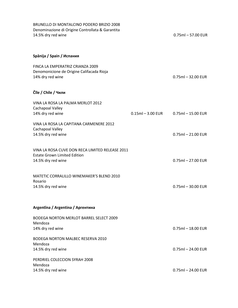| BRUNELLO DI MONTALCINO PODERO BRIZIO 2008<br>Denominazione di Origine Controllata & Garantita<br>14.5% dry red wine |                       | $0.75$ ml $-57.00$ EUR  |
|---------------------------------------------------------------------------------------------------------------------|-----------------------|-------------------------|
| Spānija / Spain / Испания                                                                                           |                       |                         |
| FINCA LA EMPERATRIZ CRIANZA 2009<br>Denomonicione de Origine Califacada Rioja<br>14% dry red wine                   |                       | $0.75$ ml $-32.00$ EUR  |
| Čīle / Chile / Чили                                                                                                 |                       |                         |
| VINA LA ROSA LA PALMA MERLOT 2012<br>Cachapoal Valley                                                               | $0.15$ ml $-3.00$ EUR |                         |
| 14% dry red wine                                                                                                    |                       | $0.75$ ml $- 15.00$ EUR |
| VINA LA ROSA LA CAPITANA CARMENERE 2012<br>Cachapoal Valley<br>14.5% dry red wine                                   |                       | $0.75$ ml $- 21.00$ EUR |
| VINA LA ROSA CUVE DON RECA LIMITED RELEASE 2011<br><b>Estate Grown Limited Edition</b><br>14.5% dry red wine        |                       | $0.75$ ml $- 27.00$ EUR |
| MATETIC CORRALILLO WINEMAKER'S BLEND 2010<br>Rosario<br>14.5% dry red wine                                          |                       | $0.75$ ml $-30.00$ EUR  |
| Argentina / Argentina / Аргентина                                                                                   |                       |                         |
| <b>BODEGA NORTON MERLOT BARREL SELECT 2009</b><br>Mendoza<br>14% dry red wine                                       |                       | $0.75$ ml $-18.00$ EUR  |
| <b>BODEGA NORTON MALBEC RESERVA 2010</b><br>Mendoza                                                                 |                       |                         |
| 14.5% dry red wine                                                                                                  |                       | $0.75$ ml - 24.00 EUR   |
| PERDRIEL COLECCION SYRAH 2008<br>Mendoza                                                                            |                       |                         |
| 14.5% dry red wine                                                                                                  |                       | $0.75$ ml $- 24.00$ EUR |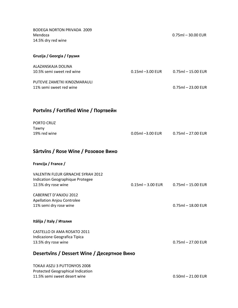| <b>BODEGA NORTON PRIVADA 2009</b><br>Mendoza<br>14.5% dry red wine                                              |                      | $0.75$ ml $-30.00$ EUR  |
|-----------------------------------------------------------------------------------------------------------------|----------------------|-------------------------|
| Gruzija / Georgia / Грузия                                                                                      |                      |                         |
| ALAZANSKAJA DOLINA<br>10.5% semi sweet red wine                                                                 | 0.15ml -3.00 EUR     | $0.75$ ml $- 15.00$ EUR |
| PUTEVIE ZAMETKI KINDZMARAULI<br>11% semi sweet red wine                                                         |                      | $0.75$ ml $- 23.00$ EUR |
| Portvins / Fortified Wine / Портвейн                                                                            |                      |                         |
| PORTO CRUZ<br>Tawny<br>19% red wine                                                                             | 0.05ml -3.00 EUR     | $0.75$ ml $- 27.00$ EUR |
| Sārtvīns / Rose Wine / Розовое Вино                                                                             |                      |                         |
| Francija / France /                                                                                             |                      |                         |
| <b>VALENTIN FLEUR GRNACHE SYRAH 2012</b><br>Indication Geographique Protegee<br>12.5% dry rose wine             | $0.15$ ml – 3.00 EUR | $0.75$ ml $- 15.00$ EUR |
| CABERNET D'ANJOU 2012<br>Apellation Anjou Controlee<br>11% semi dry rose wine                                   |                      | $0.75$ ml $-18.00$ EUR  |
| Itālija / Italy / Италия                                                                                        |                      |                         |
| CASTELLO DI AMA ROSATO 2011<br>Indicazione Geografica Tipica<br>13.5% dry rose wine                             |                      | $0.75$ ml $-27.00$ EUR  |
| Desertvins / Dessert Wine / Десертное Вино                                                                      |                      |                         |
| <b>TOKAJI ASZU 3 PUTTONYOS 2008</b><br><b>Protected Geographical Indication</b><br>11.5% semi sweet desert wine |                      | $0.50$ ml $- 21.00$ EUR |